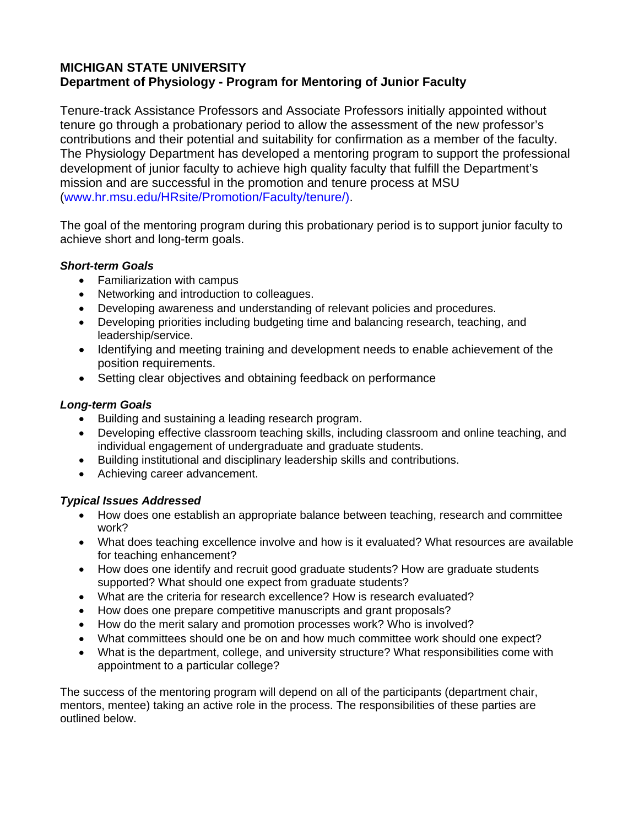# **MICHIGAN STATE UNIVERSITY Department of Physiology - Program for Mentoring of Junior Faculty**

Tenure-track Assistance Professors and Associate Professors initially appointed without tenure go through a probationary period to allow the assessment of the new professor's contributions and their potential and suitability for confirmation as a member of the faculty. The Physiology Department has developed a mentoring program to support the professional development of junior faculty to achieve high quality faculty that fulfill the Department's mission and are successful in the promotion and tenure process at MSU (www.hr.msu.edu/HRsite/Promotion/Faculty/tenure/).

The goal of the mentoring program during this probationary period is to support junior faculty to achieve short and long-term goals.

## *Short-term Goals*

- Familiarization with campus
- Networking and introduction to colleagues.
- Developing awareness and understanding of relevant policies and procedures.
- Developing priorities including budgeting time and balancing research, teaching, and leadership/service.
- Identifying and meeting training and development needs to enable achievement of the position requirements.
- Setting clear objectives and obtaining feedback on performance

## *Long-term Goals*

- Building and sustaining a leading research program.
- Developing effective classroom teaching skills, including classroom and online teaching, and individual engagement of undergraduate and graduate students.
- Building institutional and disciplinary leadership skills and contributions.
- Achieving career advancement.

## *Typical Issues Addressed*

- How does one establish an appropriate balance between teaching, research and committee work?
- What does teaching excellence involve and how is it evaluated? What resources are available for teaching enhancement?
- How does one identify and recruit good graduate students? How are graduate students supported? What should one expect from graduate students?
- What are the criteria for research excellence? How is research evaluated?
- How does one prepare competitive manuscripts and grant proposals?
- How do the merit salary and promotion processes work? Who is involved?
- What committees should one be on and how much committee work should one expect?
- What is the department, college, and university structure? What responsibilities come with appointment to a particular college?

The success of the mentoring program will depend on all of the participants (department chair, mentors, mentee) taking an active role in the process. The responsibilities of these parties are outlined below.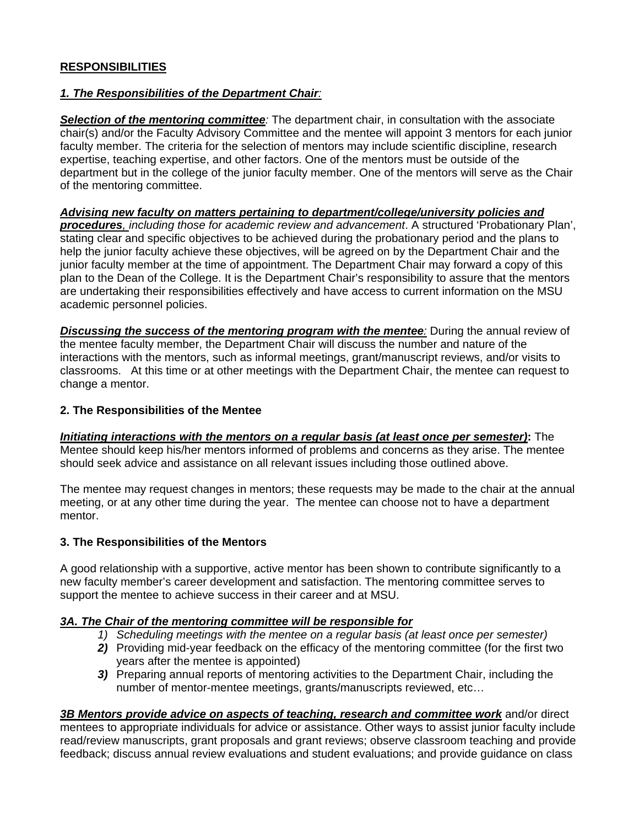## **RESPONSIBILITIES**

## *1. The Responsibilities of the Department Chair:*

*Selection of the mentoring committee:* The department chair, in consultation with the associate chair(s) and/or the Faculty Advisory Committee and the mentee will appoint 3 mentors for each junior faculty member. The criteria for the selection of mentors may include scientific discipline, research expertise, teaching expertise, and other factors. One of the mentors must be outside of the department but in the college of the junior faculty member. One of the mentors will serve as the Chair of the mentoring committee.

#### *Advising new faculty on matters pertaining to department/college/university policies and*

*procedures, including those for academic review and advancement*. A structured 'Probationary Plan', stating clear and specific objectives to be achieved during the probationary period and the plans to help the junior faculty achieve these objectives, will be agreed on by the Department Chair and the junior faculty member at the time of appointment. The Department Chair may forward a copy of this plan to the Dean of the College. It is the Department Chair's responsibility to assure that the mentors are undertaking their responsibilities effectively and have access to current information on the MSU academic personnel policies.

*Discussing the success of the mentoring program with the mentee:* During the annual review of the mentee faculty member, the Department Chair will discuss the number and nature of the interactions with the mentors, such as informal meetings, grant/manuscript reviews, and/or visits to classrooms. At this time or at other meetings with the Department Chair, the mentee can request to change a mentor.

#### **2. The Responsibilities of the Mentee**

*Initiating interactions with the mentors on a regular basis (at least once per semester)***:** The Mentee should keep his/her mentors informed of problems and concerns as they arise. The mentee should seek advice and assistance on all relevant issues including those outlined above.

The mentee may request changes in mentors; these requests may be made to the chair at the annual meeting, or at any other time during the year. The mentee can choose not to have a department mentor.

#### **3. The Responsibilities of the Mentors**

A good relationship with a supportive, active mentor has been shown to contribute significantly to a new faculty member's career development and satisfaction. The mentoring committee serves to support the mentee to achieve success in their career and at MSU.

## *3A. The Chair of the mentoring committee will be responsible for*

- *1) Scheduling meetings with the mentee on a regular basis (at least once per semester)*
- *2)* Providing mid-year feedback on the efficacy of the mentoring committee (for the first two years after the mentee is appointed)
- **3)** Preparing annual reports of mentoring activities to the Department Chair, including the number of mentor-mentee meetings, grants/manuscripts reviewed, etc…

*3B Mentors provide advice on aspects of teaching, research and committee work* and/or direct mentees to appropriate individuals for advice or assistance. Other ways to assist junior faculty include read/review manuscripts, grant proposals and grant reviews; observe classroom teaching and provide feedback; discuss annual review evaluations and student evaluations; and provide guidance on class